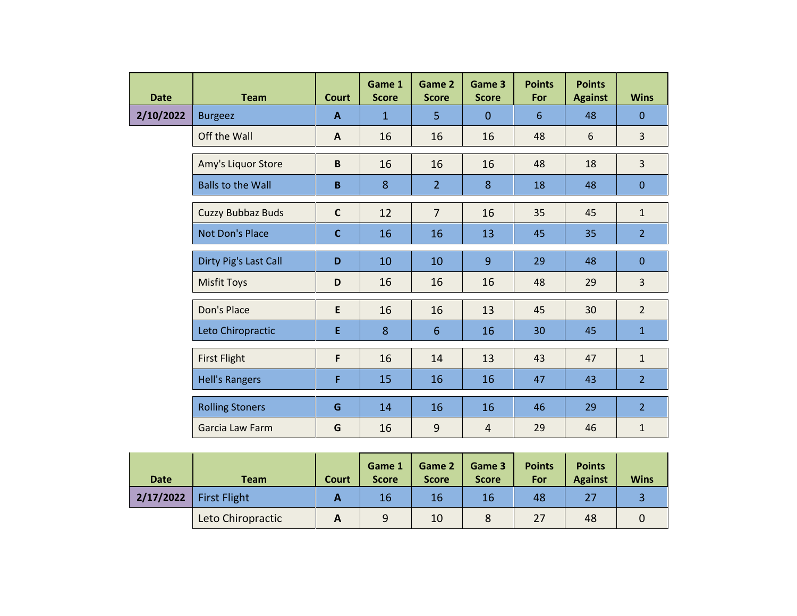| <b>Date</b> | <b>Team</b>              | <b>Court</b> | Game 1<br><b>Score</b> | Game 2<br><b>Score</b> | Game 3<br><b>Score</b> | <b>Points</b><br>For | <b>Points</b><br><b>Against</b> | <b>Wins</b>    |
|-------------|--------------------------|--------------|------------------------|------------------------|------------------------|----------------------|---------------------------------|----------------|
| 2/10/2022   | <b>Burgeez</b>           | A            | $\mathbf{1}$           | 5                      | $\overline{0}$         | 6                    | 48                              | $\overline{0}$ |
|             | Off the Wall             | $\mathbf{A}$ | 16                     | 16                     | 16                     | 48                   | 6                               | $\overline{3}$ |
|             | Amy's Liquor Store       | $\mathbf B$  | 16                     | 16                     | 16                     | 48                   | 18                              | $\overline{3}$ |
|             | <b>Balls to the Wall</b> | $\, {\bf B}$ | 8                      | $\overline{2}$         | 8                      | 18                   | 48                              | $\mathbf{0}$   |
|             | Cuzzy Bubbaz Buds        | $\mathbf{C}$ | 12                     | $\overline{7}$         | 16                     | 35                   | 45                              | $\mathbf{1}$   |
|             | <b>Not Don's Place</b>   | $\mathbf{C}$ | 16                     | 16                     | 13                     | 45                   | 35                              | 2 <sup>1</sup> |
|             | Dirty Pig's Last Call    | D            | 10                     | 10                     | 9                      | 29                   | 48                              | $\mathbf{0}$   |
|             | <b>Misfit Toys</b>       | D            | 16                     | 16                     | 16                     | 48                   | 29                              | $\overline{3}$ |
|             | Don's Place              | E            | 16                     | 16                     | 13                     | 45                   | 30                              | $\overline{2}$ |
|             | Leto Chiropractic        | E            | 8                      | $6\phantom{1}$         | 16                     | 30                   | 45                              | $\mathbf{1}$   |
|             | <b>First Flight</b>      | F            | 16                     | 14                     | 13                     | 43                   | 47                              | $\mathbf{1}$   |
|             | <b>Hell's Rangers</b>    | F            | 15                     | 16                     | 16                     | 47                   | 43                              | 2 <sup>1</sup> |
|             | <b>Rolling Stoners</b>   | G            | 14                     | 16                     | 16                     | 46                   | 29                              | 2 <sup>1</sup> |
|             | Garcia Law Farm          | G            | 16                     | 9                      | $\overline{4}$         | 29                   | 46                              | $\mathbf{1}$   |

| <b>Date</b> | <b>Team</b>         | Court      | Game 1<br><b>Score</b> | Game 2<br><b>Score</b> | Game 3<br><b>Score</b> | <b>Points</b><br>For | <b>Points</b><br><b>Against</b> | <b>Wins</b> |
|-------------|---------------------|------------|------------------------|------------------------|------------------------|----------------------|---------------------------------|-------------|
| 2/17/2022   | <b>First Flight</b> |            | 16                     | 16                     | 16                     | 48                   | 27                              |             |
|             | Leto Chiropractic   | $\sqrt{ }$ | 9                      | 10                     |                        | 27                   | 48                              |             |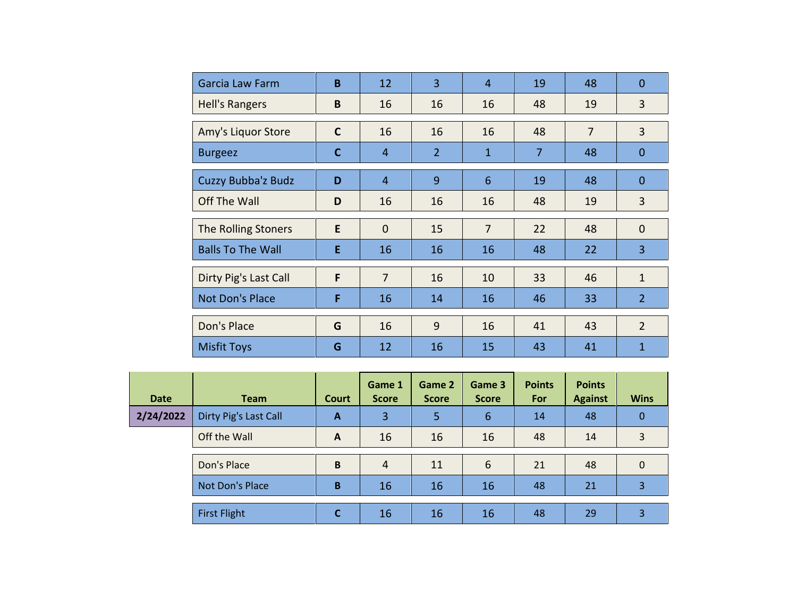| Garcia Law Farm          | B           | 12             | $\overline{3}$ | $\overline{4}$  | 19             | 48             | $\overline{0}$ |
|--------------------------|-------------|----------------|----------------|-----------------|----------------|----------------|----------------|
| <b>Hell's Rangers</b>    | B           | 16             | 16             | 16              | 48             | 19             | 3              |
| Amy's Liquor Store       | $\mathbf C$ | 16             | 16             | 16              | 48             | $\overline{7}$ | $\overline{3}$ |
| <b>Burgeez</b>           | C           | 4              | $\overline{2}$ | $\mathbf{1}$    | $\overline{7}$ | 48             | $\mathbf{0}$   |
| Cuzzy Bubba'z Budz       | D           | $\overline{4}$ | 9              | $6\phantom{1}6$ | 19             | 48             | $\overline{0}$ |
| Off The Wall             | D           | 16             | 16             | 16              | 48             | 19             | 3              |
| The Rolling Stoners      | E           | $\mathbf{0}$   | 15             | $\overline{7}$  | 22             | 48             | $\mathbf 0$    |
| <b>Balls To The Wall</b> | E           | 16             | 16             | 16              | 48             | 22             | $\overline{3}$ |
| Dirty Pig's Last Call    | F           | $\overline{7}$ | 16             | 10              | 33             | 46             | $\mathbf{1}$   |
| Not Don's Place          | F           | 16             | 14             | 16              | 46             | 33             | $\overline{2}$ |
| Don's Place              | G           | 16             | 9              | 16              | 41             | 43             | $\overline{2}$ |
| <b>Misfit Toys</b>       | G           | 12             | 16             | 15              | 43             | 41             | 1              |

| <b>Date</b> | <b>Team</b>           | Court        | Game 1<br><b>Score</b> | Game 2<br><b>Score</b> | Game 3<br><b>Score</b> | <b>Points</b><br>For | <b>Points</b><br><b>Against</b> | <b>Wins</b>  |
|-------------|-----------------------|--------------|------------------------|------------------------|------------------------|----------------------|---------------------------------|--------------|
| 2/24/2022   | Dirty Pig's Last Call | A            | 3                      | 5                      | 6                      | 14                   | 48                              | $\Omega$     |
|             | Off the Wall          | $\mathbf{A}$ | 16                     | 16                     | 16                     | 48                   | 14                              | 3            |
|             | Don's Place           | B            | $\overline{4}$         | 11                     | 6                      | 21                   | 48                              | $\mathbf{0}$ |
|             | Not Don's Place       | B            | 16                     | 16                     | 16                     | 48                   | 21                              | 3            |
|             | <b>First Flight</b>   | C            | 16                     | 16                     | 16                     | 48                   | 29                              | 3            |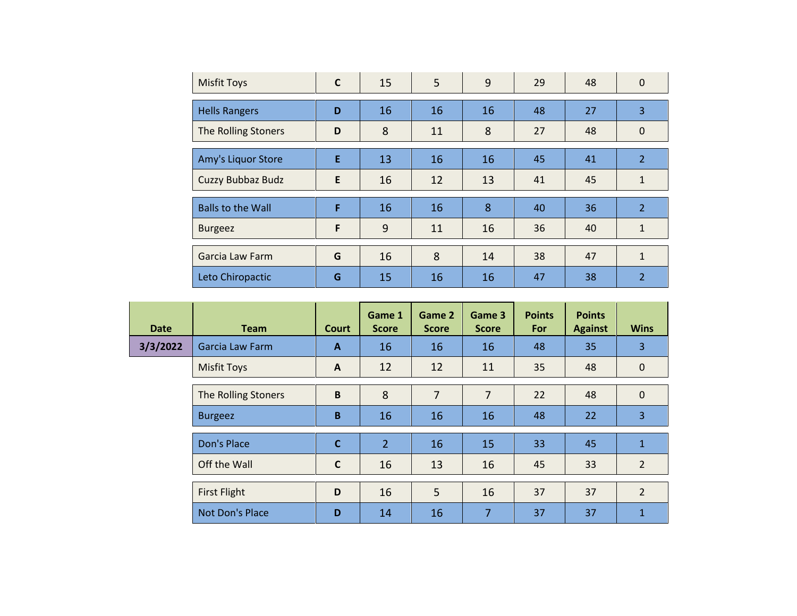| <b>Misfit Toys</b>       | $\mathsf{C}$ | 15 | 5  | 9  | 29 | 48 | 0              |
|--------------------------|--------------|----|----|----|----|----|----------------|
| <b>Hells Rangers</b>     | D            | 16 | 16 | 16 | 48 | 27 | 3              |
| The Rolling Stoners      | D            | 8  | 11 | 8  | 27 | 48 | $\mathbf 0$    |
| Amy's Liquor Store       | E            | 13 | 16 | 16 | 45 | 41 | $\overline{2}$ |
| Cuzzy Bubbaz Budz        | E            | 16 | 12 | 13 | 41 | 45 | $\mathbf{1}$   |
| <b>Balls to the Wall</b> | F            | 16 | 16 | 8  | 40 | 36 | $\overline{2}$ |
| <b>Burgeez</b>           | F            | 9  | 11 | 16 | 36 | 40 | $\mathbf{1}$   |
| Garcia Law Farm          | G            | 16 | 8  | 14 | 38 | 47 | $\mathbf{1}$   |
| Leto Chiropactic         | G            | 15 | 16 | 16 | 47 | 38 | $\overline{2}$ |

| <b>Date</b> | <b>Team</b>         | <b>Court</b> | Game 1<br><b>Score</b> | Game 2<br><b>Score</b> | Game 3<br><b>Score</b> | <b>Points</b><br>For | <b>Points</b><br><b>Against</b> | <b>Wins</b>    |
|-------------|---------------------|--------------|------------------------|------------------------|------------------------|----------------------|---------------------------------|----------------|
| 3/3/2022    | Garcia Law Farm     | $\mathbf{A}$ | 16                     | 16                     | 16                     | 48                   | 35                              | 3              |
|             | <b>Misfit Toys</b>  | $\mathbf{A}$ | 12                     | 12                     | 11                     | 35                   | 48                              | $\mathbf 0$    |
|             | The Rolling Stoners | $\mathbf B$  | 8                      | $\overline{7}$         | $\overline{7}$         | 22                   | 48                              | $\mathbf 0$    |
|             | <b>Burgeez</b>      | B            | 16                     | 16                     | 16                     | 48                   | 22                              | 3              |
|             | Don's Place         | $\mathbf{C}$ | $\overline{2}$         | 16                     | 15                     | 33                   | 45                              | $\mathbf{1}$   |
|             | Off the Wall        | $\mathsf{C}$ | 16                     | 13                     | 16                     | 45                   | 33                              | $\overline{2}$ |
|             | <b>First Flight</b> | D            | 16                     | 5                      | 16                     | 37                   | 37                              | $\overline{2}$ |
|             | Not Don's Place     | D            | 14                     | 16                     | 7                      | 37                   | 37                              | 1              |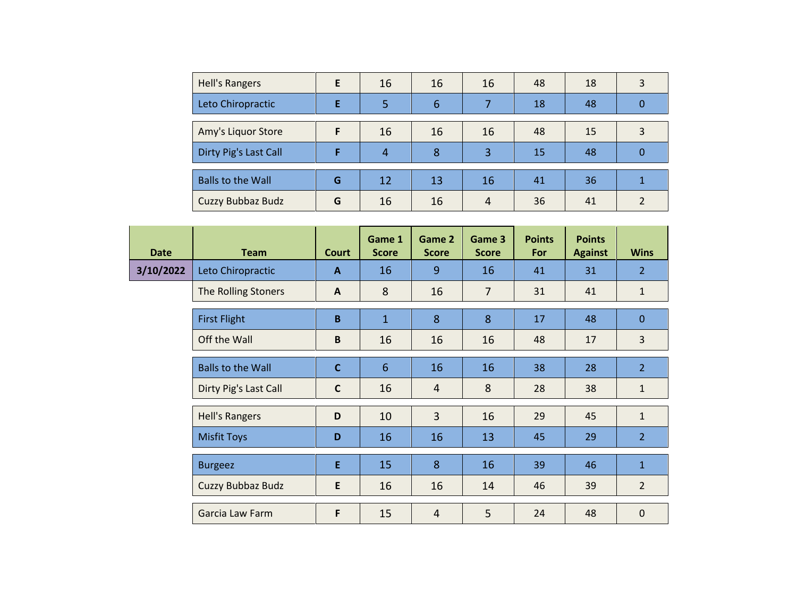| <b>Hell's Rangers</b>    | E | 16 | 16 | 16 | 48 | 18 | 3  |
|--------------------------|---|----|----|----|----|----|----|
| Leto Chiropractic        | F | 5  | 6  |    | 18 | 48 |    |
|                          |   |    |    |    |    |    |    |
| Amy's Liquor Store       |   | 16 | 16 | 16 | 48 | 15 | 3  |
| Dirty Pig's Last Call    |   | 4  | 8  | 3  | 15 | 48 |    |
|                          |   |    |    |    |    |    |    |
| <b>Balls to the Wall</b> | G | 12 | 13 | 16 | 41 | 36 |    |
| Cuzzy Bubbaz Budz        | G | 16 | 16 | 4  | 36 | 41 | C. |

| <b>Date</b> | <b>Team</b>              | <b>Court</b> | Game 1<br><b>Score</b> | Game 2<br><b>Score</b> | Game 3<br><b>Score</b> | <b>Points</b><br>For | <b>Points</b><br><b>Against</b> | <b>Wins</b>    |
|-------------|--------------------------|--------------|------------------------|------------------------|------------------------|----------------------|---------------------------------|----------------|
| 3/10/2022   | Leto Chiropractic        | $\mathbf{A}$ | 16                     | 9                      | 16                     | 41                   | 31                              | $\overline{2}$ |
|             | The Rolling Stoners      | $\mathsf{A}$ | 8                      | 16                     | $\overline{7}$         | 31                   | 41                              | $\mathbf{1}$   |
|             | <b>First Flight</b>      | $\mathbf B$  | $\mathbf{1}$           | 8                      | 8                      | 17                   | 48                              | $\mathbf{0}$   |
|             | Off the Wall             | B            | 16                     | 16                     | 16                     | 48                   | 17                              | 3              |
|             | <b>Balls to the Wall</b> | $\mathbf{C}$ | $6\phantom{1}$         | 16                     | 16                     | 38                   | 28                              | $\overline{2}$ |
|             | Dirty Pig's Last Call    | $\mathbf c$  | 16                     | $\overline{4}$         | 8                      | 28                   | 38                              | $\mathbf{1}$   |
|             | <b>Hell's Rangers</b>    | D            | 10                     | $\overline{3}$         | 16                     | 29                   | 45                              | $\mathbf{1}$   |
|             | <b>Misfit Toys</b>       | D            | 16                     | 16                     | 13                     | 45                   | 29                              | $\overline{2}$ |
|             | <b>Burgeez</b>           | E            | 15                     | 8                      | 16                     | 39                   | 46                              | $\mathbf{1}$   |
|             | Cuzzy Bubbaz Budz        | E            | 16                     | 16                     | 14                     | 46                   | 39                              | $\overline{2}$ |
|             | Garcia Law Farm          | F            | 15                     | $\overline{4}$         | 5                      | 24                   | 48                              | $\mathbf 0$    |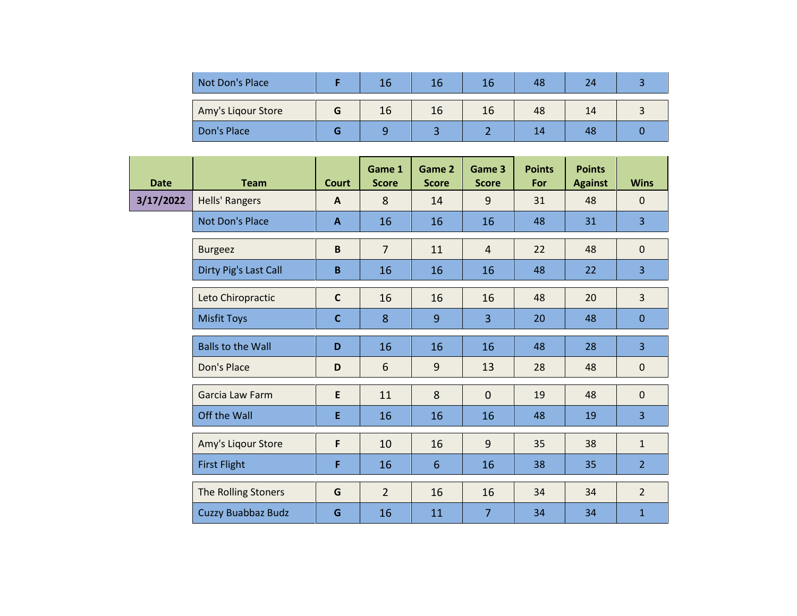| Not Don's Place    | 16 | 16 | 16 | 48 |    |  |
|--------------------|----|----|----|----|----|--|
| Amy's Ligour Store | 16 | 16 | 16 | 48 | 14 |  |
| Don's Place        |    |    |    | 14 | 48 |  |

| <b>Date</b> | <b>Team</b>              | <b>Court</b> | Game 1<br><b>Score</b> | Game 2<br><b>Score</b> | Game 3<br><b>Score</b> | <b>Points</b><br>For | <b>Points</b><br><b>Against</b> | <b>Wins</b>    |
|-------------|--------------------------|--------------|------------------------|------------------------|------------------------|----------------------|---------------------------------|----------------|
| 3/17/2022   | Hells' Rangers           | $\mathbf{A}$ | 8                      | 14                     | 9                      | 31                   | 48                              | $\mathbf 0$    |
|             | Not Don's Place          | $\mathbf{A}$ | 16                     | 16                     | 16                     | 48                   | 31                              | 3              |
|             | <b>Burgeez</b>           | $\mathbf B$  | $\overline{7}$         | 11                     | $\overline{4}$         | 22                   | 48                              | $\mathbf 0$    |
|             | Dirty Pig's Last Call    | B            | 16                     | 16                     | 16                     | 48                   | 22                              | 3              |
|             | Leto Chiropractic        | $\mathsf{C}$ | 16                     | 16                     | 16                     | 48                   | 20                              | $\overline{3}$ |
|             | <b>Misfit Toys</b>       | $\mathbf c$  | 8                      | 9                      | 3                      | 20                   | 48                              | $\mathbf{0}$   |
|             | <b>Balls to the Wall</b> | D            | 16                     | 16                     | 16                     | 48                   | 28                              | $\overline{3}$ |
|             | Don's Place              | D            | 6                      | 9                      | 13                     | 28                   | 48                              | $\pmb{0}$      |
|             | Garcia Law Farm          | E            | 11                     | 8                      | $\overline{0}$         | 19                   | 48                              | $\mathbf 0$    |
|             | Off the Wall             | E            | 16                     | 16                     | 16                     | 48                   | 19                              | $\overline{3}$ |
|             | Amy's Liqour Store       | F            | 10                     | 16                     | 9                      | 35                   | 38                              | $\mathbf{1}$   |
|             | <b>First Flight</b>      | F            | 16                     | 6                      | 16                     | 38                   | 35                              | 2 <sup>1</sup> |
|             | The Rolling Stoners      | G            | $\overline{2}$         | 16                     | 16                     | 34                   | 34                              | $\overline{2}$ |
|             | Cuzzy Buabbaz Budz       | G            | 16                     | 11                     | $\overline{7}$         | 34                   | 34                              | $\mathbf{1}$   |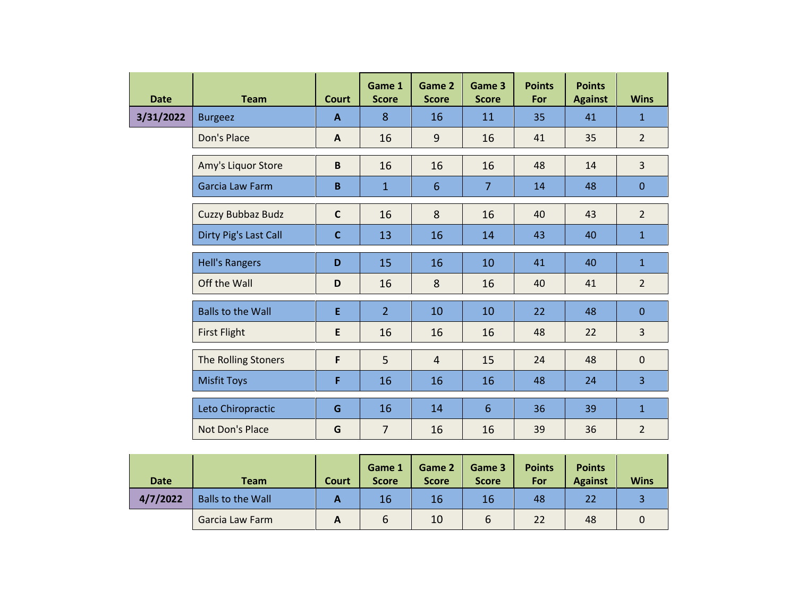| <b>Date</b> | <b>Team</b>              | <b>Court</b> | Game 1<br><b>Score</b> | Game 2<br><b>Score</b> | Game 3<br><b>Score</b> | <b>Points</b><br>For | <b>Points</b><br><b>Against</b> | <b>Wins</b>    |
|-------------|--------------------------|--------------|------------------------|------------------------|------------------------|----------------------|---------------------------------|----------------|
| 3/31/2022   | <b>Burgeez</b>           | $\mathbf{A}$ | 8                      | 16                     | 11                     | 35                   | 41                              | $\mathbf{1}$   |
|             | Don's Place              | $\mathsf{A}$ | 16                     | 9                      | 16                     | 41                   | 35                              | $\overline{2}$ |
|             | Amy's Liquor Store       | B            | 16                     | 16                     | 16                     | 48                   | 14                              | $\overline{3}$ |
|             | Garcia Law Farm          | B            | $\mathbf 1$            | $6\phantom{1}$         | 7                      | 14                   | 48                              | $\mathbf{0}$   |
|             | Cuzzy Bubbaz Budz        | $\mathbf c$  | 16                     | 8                      | 16                     | 40                   | 43                              | $\overline{2}$ |
|             | Dirty Pig's Last Call    | $\mathbf c$  | 13                     | 16                     | 14                     | 43                   | 40                              | $\mathbf{1}$   |
|             | <b>Hell's Rangers</b>    | D            | 15                     | 16                     | 10                     | 41                   | 40                              | $\mathbf{1}$   |
|             | Off the Wall             | D            | 16                     | 8                      | 16                     | 40                   | 41                              | $\overline{2}$ |
|             | <b>Balls to the Wall</b> | E            | 2 <sup>1</sup>         | 10                     | 10                     | 22                   | 48                              | $\overline{0}$ |
|             | <b>First Flight</b>      | E            | 16                     | 16                     | 16                     | 48                   | 22                              | $\overline{3}$ |
|             | The Rolling Stoners      | F            | 5                      | $\overline{4}$         | 15                     | 24                   | 48                              | $\mathbf{0}$   |
|             | <b>Misfit Toys</b>       | F            | 16                     | 16                     | 16                     | 48                   | 24                              | $\overline{3}$ |
|             | Leto Chiropractic        | G            | 16                     | 14                     | $6\phantom{1}6$        | 36                   | 39                              | $\mathbf{1}$   |
|             | Not Don's Place          | G            | $\overline{7}$         | 16                     | 16                     | 39                   | 36                              | $\overline{2}$ |

| <b>Date</b> | <b>Team</b>              | <b>Court</b> | Game 1<br><b>Score</b> | Game 2<br><b>Score</b> | Game 3<br><b>Score</b> | <b>Points</b><br>For | <b>Points</b><br><b>Against</b> | <b>Wins</b> |
|-------------|--------------------------|--------------|------------------------|------------------------|------------------------|----------------------|---------------------------------|-------------|
| 4/7/2022    | <b>Balls to the Wall</b> | A            | 16                     | 16                     | 16                     | 48                   | 22                              |             |
|             | Garcia Law Farm          |              | b                      | 10                     | 6                      | 22                   | 48                              |             |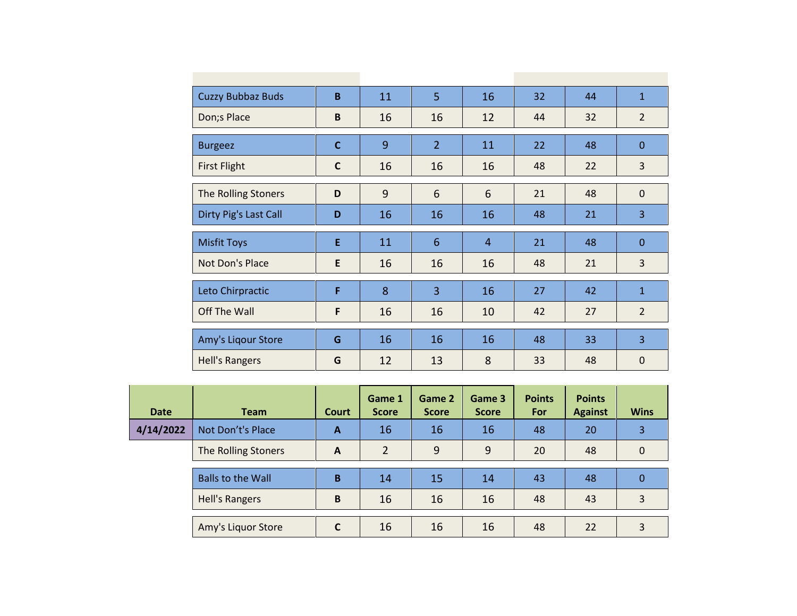| <b>Cuzzy Bubbaz Buds</b> | B           | 11 | 5              | 16             | 32 | 44 | $\mathbf{1}$   |
|--------------------------|-------------|----|----------------|----------------|----|----|----------------|
| Don;s Place              | B           | 16 | 16             | 12             | 44 | 32 | $\overline{2}$ |
| <b>Burgeez</b>           | $\mathbf C$ | 9  | $\overline{2}$ | 11             | 22 | 48 | $\Omega$       |
| <b>First Flight</b>      | $\mathbf c$ | 16 | 16             | 16             | 48 | 22 | 3              |
| The Rolling Stoners      | D           | 9  | 6              | 6              | 21 | 48 | $\mathbf 0$    |
| Dirty Pig's Last Call    | D           | 16 | 16             | 16             | 48 | 21 | 3              |
|                          |             |    |                |                |    |    |                |
| <b>Misfit Toys</b>       | E           | 11 | 6              | $\overline{4}$ | 21 | 48 | $\overline{0}$ |
| Not Don's Place          | E           | 16 | 16             | 16             | 48 | 21 | 3              |
| Leto Chirpractic         | F           | 8  | $\overline{3}$ | 16             | 27 | 42 | $\mathbf{1}$   |
| Off The Wall             | F           | 16 | 16             | 10             | 42 | 27 | $\overline{2}$ |
| Amy's Liqour Store       | G           | 16 | 16             | 16             | 48 | 33 | $\overline{3}$ |

| <b>Date</b> | <b>Team</b>              | <b>Court</b> | Game 1<br><b>Score</b> | Game 2<br><b>Score</b> | Game 3<br><b>Score</b> | <b>Points</b><br>For | <b>Points</b><br><b>Against</b> | <b>Wins</b> |
|-------------|--------------------------|--------------|------------------------|------------------------|------------------------|----------------------|---------------------------------|-------------|
| 4/14/2022   | Not Don't's Place        | A            | 16                     | 16                     | 16                     | 48                   | 20                              | 3           |
|             | The Rolling Stoners      | A            | $\mathcal{P}$          | 9                      | 9                      | 20                   | 48                              | $\Omega$    |
|             | <b>Balls to the Wall</b> | B            | 14                     | 15                     | 14                     | 43                   | 48                              | 0           |
|             | <b>Hell's Rangers</b>    | B            | 16                     | 16                     | 16                     | 48                   | 43                              | 3           |
|             | Amy's Liquor Store       | $\mathsf{C}$ | 16                     | 16                     | 16                     | 48                   | 22                              | 3           |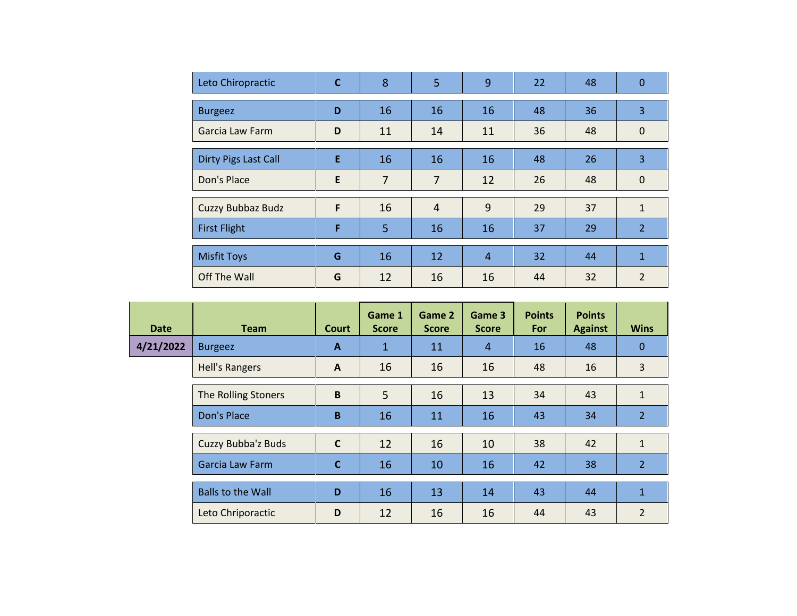| Leto Chiropractic           | $\mathbf c$ | 8              | 5              | 9              | 22 | 48 | $\mathbf 0$    |
|-----------------------------|-------------|----------------|----------------|----------------|----|----|----------------|
| <b>Burgeez</b>              | D           | 16             | 16             | 16             | 48 | 36 | 3              |
| Garcia Law Farm             | D           | 11             | 14             | 11             | 36 | 48 | $\mathbf 0$    |
| <b>Dirty Pigs Last Call</b> | E           | 16             | 16             | 16             | 48 | 26 | 3              |
| Don's Place                 | E           | $\overline{7}$ | $\overline{7}$ | 12             | 26 | 48 | $\mathbf 0$    |
| Cuzzy Bubbaz Budz           | F           | 16             | $\overline{4}$ | 9              | 29 | 37 | $\mathbf{1}$   |
| <b>First Flight</b>         | F           | 5              | 16             | 16             | 37 | 29 | $\overline{2}$ |
| <b>Misfit Toys</b>          | G           | 16             | 12             | $\overline{4}$ | 32 | 44 | $\mathbf{1}$   |
| Off The Wall                | G           | 12             | 16             | 16             | 44 | 32 | $\overline{2}$ |

| <b>Date</b> | <b>Team</b>              | <b>Court</b> | Game 1<br><b>Score</b> | Game 2<br><b>Score</b> | Game 3<br><b>Score</b> | <b>Points</b><br><b>For</b> | <b>Points</b><br><b>Against</b> | <b>Wins</b>    |
|-------------|--------------------------|--------------|------------------------|------------------------|------------------------|-----------------------------|---------------------------------|----------------|
| 4/21/2022   | <b>Burgeez</b>           | $\mathbf{A}$ | 1                      | 11                     | $\overline{4}$         | 16                          | 48                              | $\mathbf{0}$   |
|             | <b>Hell's Rangers</b>    | $\mathbf{A}$ | 16                     | 16                     | 16                     | 48                          | 16                              | 3              |
|             | The Rolling Stoners      | B            | 5                      | 16                     | 13                     | 34                          | 43                              | $\mathbf{1}$   |
|             | Don's Place              | B            | 16                     | 11                     | 16                     | 43                          | 34                              | $\overline{2}$ |
|             | Cuzzy Bubba'z Buds       | $\mathbf{C}$ | 12                     | 16                     | 10                     | 38                          | 42                              | $\mathbf{1}$   |
|             | Garcia Law Farm          | $\mathbf{C}$ | 16                     | 10                     | 16                     | 42                          | 38                              | $\overline{2}$ |
|             | <b>Balls to the Wall</b> | D            | 16                     | 13                     | 14                     | 43                          | 44                              | $\mathbf{1}$   |
|             | Leto Chriporactic        | D            | 12                     | 16                     | 16                     | 44                          | 43                              | $\overline{2}$ |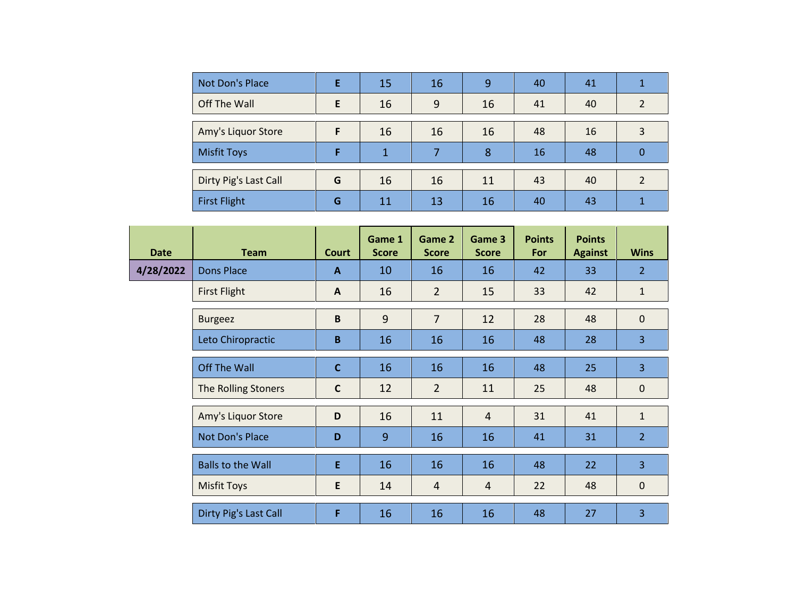| Not Don's Place       |   | 15 | 16 | 9  | 40 | 41 |   |
|-----------------------|---|----|----|----|----|----|---|
| Off The Wall          | F | 16 | 9  | 16 | 41 | 40 |   |
|                       |   |    |    |    |    |    |   |
| Amy's Liquor Store    |   | 16 | 16 | 16 | 48 | 16 |   |
| <b>Misfit Toys</b>    |   | 1  | ⇁  | 8  | 16 | 48 | 0 |
|                       |   |    |    |    |    |    |   |
| Dirty Pig's Last Call | G | 16 | 16 | 11 | 43 | 40 |   |
| <b>First Flight</b>   | G | 11 | 13 | 16 | 40 | 43 |   |

| <b>Date</b> | <b>Team</b>              | <b>Court</b> | Game 1<br><b>Score</b> | Game 2<br><b>Score</b> | Game 3<br><b>Score</b> | <b>Points</b><br>For | <b>Points</b><br><b>Against</b> | <b>Wins</b>    |
|-------------|--------------------------|--------------|------------------------|------------------------|------------------------|----------------------|---------------------------------|----------------|
| 4/28/2022   | Dons Place               | $\mathbf{A}$ | 10                     | 16                     | 16                     | 42                   | 33                              | 2 <sup>1</sup> |
|             | <b>First Flight</b>      | $\mathbf{A}$ | 16                     | $\overline{2}$         | 15                     | 33                   | 42                              | $\mathbf{1}$   |
|             | <b>Burgeez</b>           | B            | 9                      | $\overline{7}$         | 12                     | 28                   | 48                              | $\mathbf 0$    |
|             | Leto Chiropractic        | B            | 16                     | 16                     | 16                     | 48                   | 28                              | 3              |
|             | <b>Off The Wall</b>      | $\mathbf C$  | 16                     | 16                     | 16                     | 48                   | 25                              | 3              |
|             | The Rolling Stoners      | $\mathsf{C}$ | 12                     | $\overline{2}$         | 11                     | 25                   | 48                              | $\mathbf 0$    |
|             | Amy's Liquor Store       | D            | 16                     | 11                     | $\overline{4}$         | 31                   | 41                              | $\mathbf{1}$   |
|             | Not Don's Place          | D            | 9                      | 16                     | 16                     | 41                   | 31                              | 2 <sup>1</sup> |
|             | <b>Balls to the Wall</b> | E            | 16                     | 16                     | 16                     | 48                   | 22                              | 3              |
|             | <b>Misfit Toys</b>       | E            | 14                     | $\overline{4}$         | $\overline{4}$         | 22                   | 48                              | $\mathbf 0$    |
|             | Dirty Pig's Last Call    | F            | 16                     | 16                     | 16                     | 48                   | 27                              | 3              |